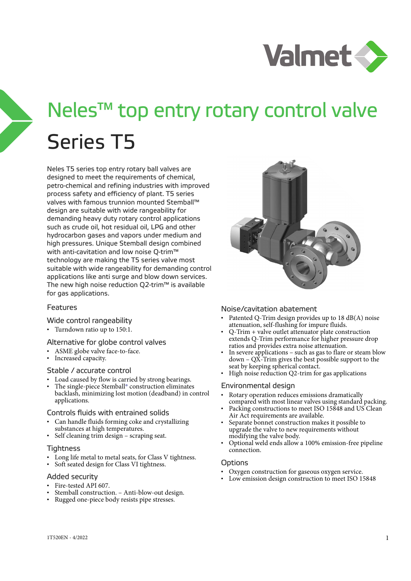

# Neles™ top entry rotary control valve Series T5

Neles T5 series top entry rotary ball valves are designed to meet the requirements of chemical, petro-chemical and refining industries with improved process safety and efficiency of plant. T5 series valves with famous trunnion mounted Stemball™ design are suitable with wide rangeability for demanding heavy duty rotary control applications such as crude oil, hot residual oil, LPG and other hydrocarbon gases and vapors under medium and high pressures. Unique Stemball design combined with anti-cavitation and low noise Q-trim™ technology are making the T5 series valve most suitable with wide rangeability for demanding control applications like anti surge and blow down services. The new high noise reduction Q2-trim™ is available for gas applications.

### Features

### Wide control rangeability

• Turndown ratio up to 150:1.

### Alternative for globe control valves

- ASME globe valve face-to-face.
- Increased capacity.

### Stable / accurate control

- Load caused by flow is carried by strong bearings.
- The single-piece Stemball<sup>®</sup> construction eliminates backlash, minimizing lost motion (deadband) in control applications.

### Controls fluids with entrained solids

- Can handle fluids forming coke and crystallizing substances at high temperatures.
- Self cleaning trim design scraping seat.

### **Tightness**

- Long life metal to metal seats, for Class V tightness.
- Soft seated design for Class VI tightness.

### Added security

- Fire-tested API 607.
- Stemball construction. Anti-blow-out design.
- Rugged one-piece body resists pipe stresses.



### Noise/cavitation abatement

- Patented Q-Trim design provides up to 18 dB(A) noise attenuation, self-flushing for impure fluids.
- Q-Trim + valve outlet attenuator plate construction extends Q-Trim performance for higher pressure drop ratios and provides extra noise attenuation.
- In severe applications such as gas to flare or steam blow  $down - Q\bar{X}$ -Trim gives the best possible support to the seat by keeping spherical contact.
- High noise reduction Q2-trim for gas applications

### Environmental design

- Rotary operation reduces emissions dramatically compared with most linear valves using standard packing.
- Packing constructions to meet ISO 15848 and US Clean Air Act requirements are available.
- Separate bonnet construction makes it possible to upgrade the valve to new requirements without modifying the valve body.
- Optional weld ends allow a 100% emission-free pipeline connection.

### Options

- Oxygen construction for gaseous oxygen service.
- Low emission design construction to meet ISO 15848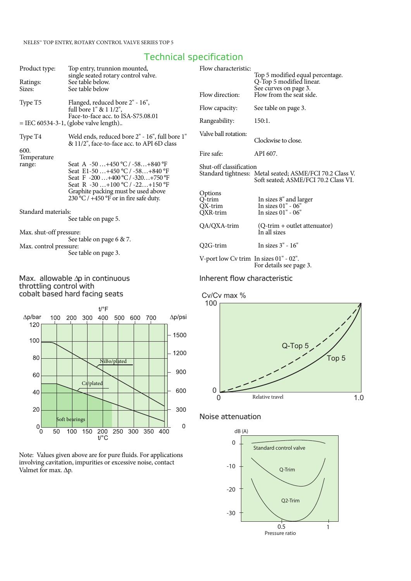# Technical specification

| Product type:           | Top entry, trunnion mounted,                                                                  | Flow characteristic:                   |                                                              |
|-------------------------|-----------------------------------------------------------------------------------------------|----------------------------------------|--------------------------------------------------------------|
| Ratings:                | single seated rotary control valve.<br>See table below.                                       |                                        | Top 5 modified equal percentage.<br>Q-Top 5 modified linear. |
| Sizes:                  | See table below                                                                               | Flow direction:                        | See curves on page 3.<br>Flow from the seat side.            |
| Type T5                 | Flanged, reduced bore 2" - 16",<br>full bore $1" \& 1 \frac{1}{2"$ ,                          | Flow capacity:                         | See table on page 3.                                         |
|                         | Face-to-face acc. to ISA-S75.08.01                                                            | Rangeability:                          | 150:1.                                                       |
|                         | $=$ IEC 60534-3-1, (globe valve length)                                                       |                                        |                                                              |
| Type T4                 | Weld ends, reduced bore 2" - 16", full bore 1"                                                | Valve ball rotation:                   | Clockwise to close.                                          |
|                         | & 11/2", face-to-face acc. to API 6D class                                                    |                                        |                                                              |
| 600.<br>Temperature     |                                                                                               | Fire safe:                             | API 607.                                                     |
| range:                  | Seat A $-50$ +450 °C / $-58$ +840 °F<br>Seat E1-50  +450 $^{\circ}$ C / -58 +840 $^{\circ}$ F | Shut-off classification                | Standard tightness: Metal seated; ASME/FCI 70.2 Class V.     |
|                         | Seat F $-200+400$ °C / $-320+750$ °F<br>Seat R $-30$ +100 °C / $-22$ +150 °F                  |                                        | Soft seated; ASME/FCI 70.2 Class VI.                         |
|                         | Graphite packing must be used above                                                           | Options                                |                                                              |
|                         | $230^{\circ}$ C / +450 °F or in fire safe duty.                                               | O-trim                                 | In sizes 8" and larger                                       |
| Standard materials:     |                                                                                               | QX-trim<br>QXR-trim                    | In sizes 01" - 06"<br>In sizes $01" - 06"$                   |
|                         | See table on page 5.                                                                          |                                        |                                                              |
| Max. shut-off pressure: |                                                                                               | QA/QXA-trim                            | (Q-trim + outlet attenuator)<br>In all sizes                 |
|                         | See table on page 6 & 7.                                                                      |                                        |                                                              |
| Max. control pressure:  |                                                                                               | Q2G-trim                               | In sizes 3" - 16"                                            |
|                         | See table on page 3.                                                                          |                                        |                                                              |
|                         |                                                                                               | V-port low Cv trim In sizes 01" - 02". |                                                              |
|                         |                                                                                               |                                        | For details see page 3.                                      |

### Max. allowable Δp in continuous throttling control with cobalt based hard facing seats



Note: Values given above are for pure fluids. For applications involving cavitation, impurities or excessive noise, contact Valmet for max. Δp.

### Inherent flow characteristic



# Noise attenuation

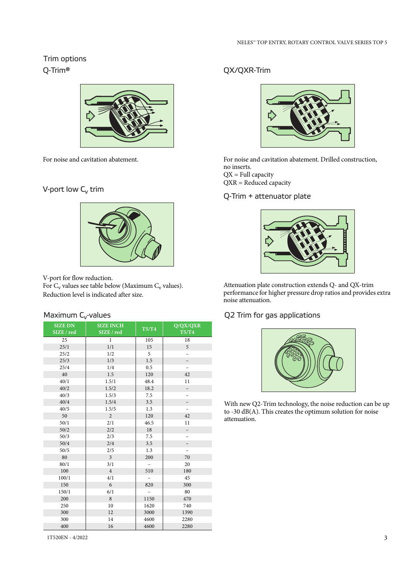# Trim options Q-Trim®



For noise and cavitation abatement.

# V-port low  $C_v$  trim



V-port for flow reduction.

For  $C_v$  values see table below (Maximum  $C_v$  values). Reduction level is indicated after size.

| <b>SIZE DN</b><br>SIZE / red | <b>SIZE INCH</b><br>SIZE / red | T5/T4                    | Q/QX/QXR<br>T5/T4        |
|------------------------------|--------------------------------|--------------------------|--------------------------|
|                              |                                |                          |                          |
| 25                           | $\mathbf{1}$                   | 105                      | 18                       |
| 25/1                         | 1/1                            | 15                       | 5                        |
| 25/2                         | 1/2                            | 5                        | $\overline{a}$           |
| 25/3                         | 1/3                            | 1.5                      | $\overline{\phantom{0}}$ |
| 25/4                         | 1/4                            | 0.5                      | $\overline{a}$           |
| 40                           | 1.5                            | 120                      | 42                       |
| 40/1                         | 1.5/1                          | 48.4                     | 11                       |
| 40/2                         | 1.5/2                          | 18.2                     | $\overline{a}$           |
| 40/3                         | 1.5/3                          | 7.5                      | $\overline{\phantom{0}}$ |
| 40/4                         | 1.5/4                          | 3.5                      | $\overline{\phantom{0}}$ |
| 40/5                         | 1.5/5                          | 1.3                      | $\overline{\phantom{0}}$ |
| 50                           | $\overline{2}$                 | 120                      | 42                       |
| 50/1                         | 2/1                            | 46.5                     | 11                       |
| 50/2                         | 2/2                            | 18                       | $\overline{\phantom{0}}$ |
| 50/3                         | 2/3                            | 7.5                      | $\overline{\phantom{0}}$ |
| 50/4                         | 2/4                            | 3.5                      | $\overline{\phantom{0}}$ |
| 50/5                         | 2/5                            | 1.3                      | $\overline{\phantom{0}}$ |
| 80                           | $\overline{3}$                 | 200                      | 70                       |
| 80/1                         | 3/1                            | $\overline{\phantom{0}}$ | 20                       |
| 100                          | $\overline{4}$                 | 510                      | 180                      |
| 100/1                        | 4/1                            |                          | 45                       |
| 150                          | 6                              | 820                      | 300                      |
| 150/1                        | 6/1                            |                          | 80                       |
| 200                          | 8                              | 1150                     | 470                      |
| 250                          | 10                             | 1620                     | 740                      |
| 300                          | 12                             | 3000                     | 1390                     |
| 300                          | 14                             | 4600                     | 2280                     |
| 400                          | 16                             | 4600                     | 2280                     |

# QX/QXR-Trim



For noise and cavitation abatement. Drilled construction, no inserts.  $QX = Full capacity$ QXR = Reduced capacity

# Q-Trim + attenuator plate



Attenuation plate construction extends Q- and QX-trim performance for higher pressure drop ratios and provides extra noise attenuation.

# Maximum C<sub>v</sub>-values and the control of the Q2 Trim for gas applications



With new Q2-Trim technology, the noise reduction can be up to -30 dB(A). This creates the optimum solution for noise attenuation.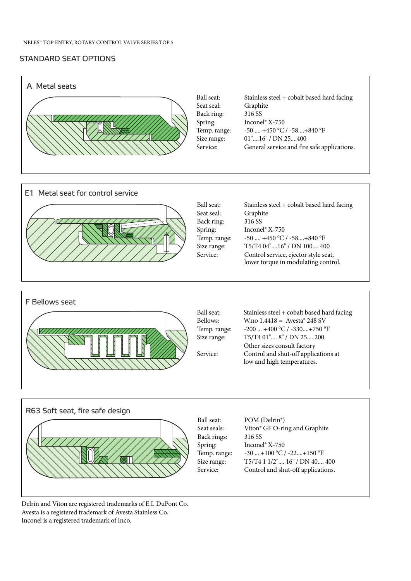# STANDARD SEAT OPTIONS





Delrin and Viton are registered trademarks of E.I. DuPont Co. Avesta is a registered trademark of Avesta Stainless Co. Inconel is a registered trademark of Inco.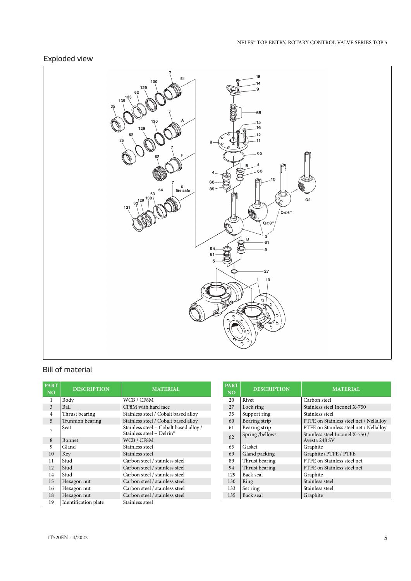# Exploded view



# Bill of material

| <b>PART</b><br><b>NO</b> | <b>DESCRIPTION</b>   | <b>MATERIAL</b>                                                                 |
|--------------------------|----------------------|---------------------------------------------------------------------------------|
| 1                        | Body                 | WCB / CF8M                                                                      |
| 3                        | Ball                 | CF8M with hard face                                                             |
| $\overline{4}$           | Thrust bearing       | Stainless steel / Cobalt based alloy                                            |
| 5                        | Trunnion bearing     | Stainless steel / Cobalt based alloy                                            |
| 7                        | Seat                 | Stainless steel + Cobalt based alloy /<br>Stainless steel + Delrin <sup>®</sup> |
| 8                        | <b>Bonnet</b>        | WCB / CF8M                                                                      |
| 9                        | Gland                | Stainless steel                                                                 |
| 10                       | Key                  | Stainless steel                                                                 |
| 11                       | Stud                 | Carbon steel / stainless steel                                                  |
| 12                       | Stud                 | Carbon steel / stainless steel                                                  |
| 14                       | Stud                 | Carbon steel / stainless steel                                                  |
| 15                       | Hexagon nut          | Carbon steel / stainless steel                                                  |
| 16                       | Hexagon nut          | Carbon steel / stainless steel                                                  |
| 18                       | Hexagon nut          | Carbon steel / stainless steel                                                  |
| 19                       | Identification plate | Stainless steel                                                                 |

| <b>PART</b><br><b>NO</b> | <b>DESCRIPTION</b> | <b>MATERIAL</b>                                  |
|--------------------------|--------------------|--------------------------------------------------|
| 20                       | Rivet              | Carbon steel                                     |
| 27                       | Lock ring          | Stainless steel Inconel X-750                    |
| 35                       | Support ring       | Stainless steel                                  |
| 60                       | Bearing strip      | PTFE on Stainless steel net / Nellalloy          |
| 61                       | Bearing strip      | PTFE on Stainless steel net / Nellalloy          |
| 62                       | Spring/bellows     | Stainless steel Inconel X-750 /<br>Avesta 248 SV |
| 65                       | Gasket             | Graphite                                         |
| 69                       | Gland packing      | Graphite+PTFE / PTFE                             |
| 89                       | Thrust bearing     | PTFE on Stainless steel net                      |
| 94                       | Thrust bearing     | PTFE on Stainless steel net                      |
| 129                      | Back seal          | Graphite                                         |
| 130                      | Ring               | Stainless steel                                  |
| 133                      | Set ring           | Stainless steel                                  |
| 135                      | Back seal          | Graphite                                         |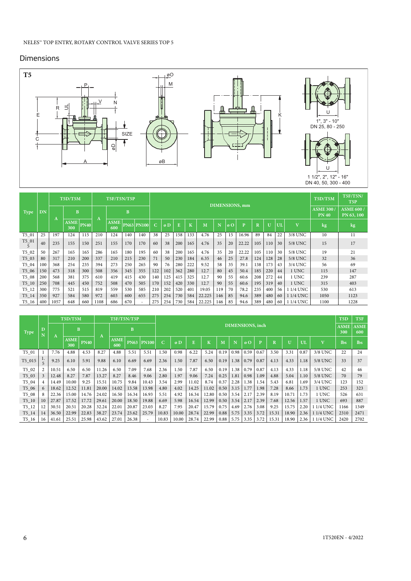# **Dimensions**



|             |           |      | T5D/T5M            |             |      | <b>T5F/T5N/T5P</b> |     |                          | DIMENSIONS, mm |     |     |     |        |     |            |       | T5D/T5M     | <b>T5F/T5N/</b><br>T <sub>5</sub> P |    |                         |                                 |                                |
|-------------|-----------|------|--------------------|-------------|------|--------------------|-----|--------------------------|----------------|-----|-----|-----|--------|-----|------------|-------|-------------|-------------------------------------|----|-------------------------|---------------------------------|--------------------------------|
| <b>Type</b> | <b>DN</b> |      | <sub>B</sub>       |             |      |                    | B   |                          |                |     |     |     |        |     |            |       |             |                                     |    |                         | <b>ASME 300</b><br><b>PN 40</b> | <b>ASME 600/</b><br>PN 63, 100 |
|             |           | A    | <b>ASME</b><br>300 | <b>PN40</b> | A    | <b>ASME</b><br>600 |     | <b>PN63 PN100</b>        | Ċ.             | øD  |     | K   | M      |     | $\sigma$ O | p     | $\mathbf R$ | $\mathbf{U}$                        | UI | $\overline{\mathbf{V}}$ | kg                              | kg                             |
| $T5_01$     | 25        | 197  | 124                | 115         | 210  | 124                | 140 | 140                      | 38             | 25  | 158 | 133 | 4.76   | 25  | 15         | 16.96 | 89          | 84                                  | 22 | 3/8 UNC                 | 10                              | 11                             |
| $T5_01$     | 40        | 235  | 155                | 150         | 251  | 155                | 170 | 170                      | 60             | 38  | 200 | 165 | 4.76   | 35  | 20         | 22.22 | 105         | 110                                 | 30 | 5/8 UNC                 | 15                              | 17                             |
| T5 02       | 50        | 267  | 165                | 165         | 286  | 165                | 180 | 195                      | 60             | 38  | 200 | 165 | 4.76   | 35  | 20         | 22.22 | 105         | 110                                 | 30 | 5/8 UNC                 | 19                              | 21                             |
| T5 03       | 80        | 317  | 210                | 200         | 337  | 210                | 215 | 230                      | 71             | 50  | 230 | 184 | 6.35   | 46  | 25         | 27.8  | 124         | 128                                 | 28 | 5/8 UNC                 | 32                              | 36                             |
| $T5_04$     | 100       | 368  | 254                | 235         | 394  | 273                | 250 | 265                      | 90             | 76  | 280 | 222 | 9.52   | 58  | 35         | 39.1  | 138         | 173                                 | 43 | 3/4 UNC                 | 56                              | 69                             |
| T5 06       | 150       | 473  | 318                | 300         | 508  | 356                | 345 | 355                      | 122            | 102 | 362 | 280 | 12.7   | 80  | 45         | 50.4  | 185         | 220                                 | 44 | 1 UNC                   | 115                             | 147                            |
| $T5_08$     | 200       | 568  | 381                | 375         | 610  | 419                | 415 | 430                      | 140            | 125 | 415 | 325 | 12.7   | 90  | 55         | 60.6  | 208         | 272                                 | 44 | 1 UNC                   | 239                             | 287                            |
| $T5_10$     | 250       | 708  | 445                | 450         | 752  | 508                | 470 | 505                      | 170            | 152 | 420 | 330 | 12.7   | 90  | 55         | 60.6  | 195         | 319                                 | 40 | 1 UNC                   | 315                             | 403                            |
| $T5_12$     | 300       | 775  | 521                | 515         | 819  | 559                | 530 | 585                      | 210            | 202 | 520 | 401 | 19.05  | 119 | 70         | 78.2  | 235         | 400                                 | 56 | 1 1/4 UNC               | 530                             | 613                            |
| $T5_14$     | 350       | 927  | 584                | 580         | 972  | 603                | 600 | 655                      | 275            | 254 | 730 | 584 | 22.225 | 146 | 85         | 94.6  | 389         | 480                                 | 60 | 1 1/4 UNC               | 1050                            | 1123                           |
| $T5_16$     | 400       | 1057 | 648                | 660         | 1108 | 686                | 670 | $\overline{\phantom{a}}$ | 275            | 254 | 730 | 584 | 22.225 | 146 | 85         | 94.6  | 389         | 480                                 | 60 | 1 1/4 UNC               | 1100                            | 1228                           |

|             |         |       | T5D/T5M            |             |       |                    | <b>T5F/T5N/T5P</b> |              |       |       |       |       |      |                          |                                             |      |       |                |      |              | T <sub>5</sub> D   | T <sub>5F</sub>    |
|-------------|---------|-------|--------------------|-------------|-------|--------------------|--------------------|--------------|-------|-------|-------|-------|------|--------------------------|---------------------------------------------|------|-------|----------------|------|--------------|--------------------|--------------------|
| <b>Type</b> | D<br>N. | A     | B                  |             |       |                    | $\, {\bf B}$       |              |       |       |       |       |      | <b>DIMENSIONS</b> , inch |                                             |      |       |                |      |              | <b>ASME</b><br>300 | <b>ASME</b><br>600 |
|             |         |       | <b>ASME</b><br>300 | <b>PN40</b> | A     | <b>ASME</b><br>600 | <b>PN63</b>        | <b>PN100</b> | C     | øD    | E     | K     | M    | N                        | $\boldsymbol{\alpha}$ $\boldsymbol{\Omega}$ | D    |       | $\overline{U}$ | UΙ   | $\mathbf{v}$ | <b>lbs</b>         | <b>lbs</b>         |
| T5 01       |         | 7.76  | 4.88               | 4.53        | 8.27  | 4.88               | 5.51               | 5.51         | 1.50  | 0.98  | 6.22  | 5.24  | 0.19 | 0.98                     | 0.59                                        | 0.67 | 3.50  | 3.31           | 0.87 | 3/8 UNC      | 22                 | 24                 |
| T5_015      |         | 9.25  | 6.10               | 5.91        | 9.88  | 6.10               | 6.69               | 6.69         | 2.36  | 1.50  | 7.87  | 6.50  | 0.19 | 1.38                     | 0.79                                        | 0.87 | 4.13  | 4.33           | 1.18 | 5/8 UNC      | 33                 | 37                 |
| $T5_02$     |         | 10.51 | 6.50               | 6.50        | 11.26 | 6.50               | 7.09               | 7.68         | 2.36  | 1.50  | 7.87  | 6.50  | 0.19 | 1.38                     | 0.79                                        | 0.87 | 4.13  | 4.33           | 1.18 | 5/8 UNC      | 42                 | 46                 |
| $T5_03$     | 3       | 12.48 | 8.27               | 7.87        | 13.27 | 8.27               | 8.46               | 9.06         | 2.80  | 1.97  | 9.06  | 7.24  | 0.25 | 1.81                     | 0.98                                        | 1.09 | 4.88  | 5.04           | 1.10 | 5/8 UNC      | 70                 | 79                 |
| T5_04       | 4       | 14.49 | 10.00              | 9.25        | 15.51 | 10.75              | 9.84               | 10.43        | 3.54  | 2.99  | 11.02 | 8.74  | 0.37 | 2.28                     | L.38                                        | 1.54 | 5.43  | 6.81           | 1.69 | 3/4 UNC      | 123                | 152                |
| $T5_06$     | 6       | 18.62 | 12.52              | 11.81       | 20.00 | 14.02              | 13.58              | 13.98        | 4.80  | 4.02  | 14.25 | 11.02 | 0.50 | 3.15                     | 1.77                                        | 1.98 | 7.28  | 8.66           | 1.73 | 1 UNC        | 253                | 323                |
| T5_08       | 8       | 22.36 | 15.00              | 14.76       | 24.02 | 16.50              | 16.34              | 16.93        | 5.51  | 4.92  | 16.34 | 12.80 | 0.50 | 3.54                     | 2.17                                        | 2.39 | 8.19  | 10.71          | 1.73 | 1 UNC        | 526                | 631                |
| $T5_10$     | 10      | 27.87 | 17.52              | 17.72       | 29.61 | 20.00              | 18.50              | 19.88        | 6.69  | 5.98  | 16.54 | 12.99 | 0.50 | 3.54                     | 2.17                                        | 2.39 | 7.68  | 12.56          | 1.57 | 1 UNC        | 693                | 887                |
| $T5_12$     | 12      | 30.51 | 20.51              | 20.28       | 32.24 | 22.01              | 20.87              | 23.03        | 8.27  | 7.95  | 20.47 | 15.79 | 0.75 | 4.69                     | 2.76                                        | 3.08 | 9.25  | 15.75          | 2.20 | $1/4$ UNC    | 1166               | 1349               |
| $T5_14$     | 14      | 36.50 | 22.99              | 22.83       | 38.27 | 23.74              | 23.62              | 25.79        | 10.83 | 10.00 | 28.74 | 22.99 | 0.88 | 5.75                     | 3.35                                        | 3.72 | 15.31 | 18.90          | 2.36 | 1 1/4 UNC    | 2310               | 2471               |
| $T5_16$     | 16      | 41.61 | 25.51              | 25.98       | 43.62 | 27.01              | 26.38              |              | 10.83 | 10.00 | 28.74 | 22.99 | 0.88 | 5.75                     | 3.35                                        | 3.72 | 15.31 | 18.90          | 2.36 | 1 1/4 UNC    | 2420               | 2702               |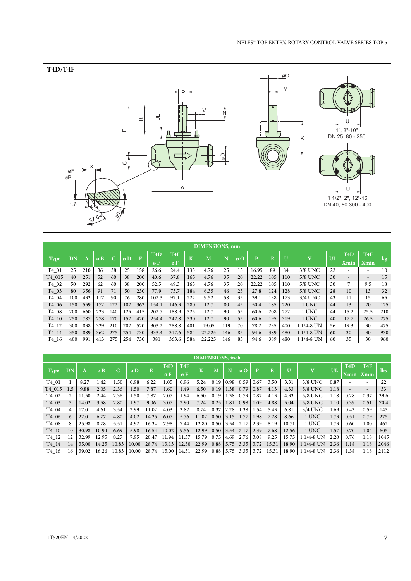

|                    | <b>DIMENSIONS, mm</b> |     |     |                          |     |     |                  |                 |         |        |     |                       |       |         |              |                         |    |                          |                          |        |
|--------------------|-----------------------|-----|-----|--------------------------|-----|-----|------------------|-----------------|---------|--------|-----|-----------------------|-------|---------|--------------|-------------------------|----|--------------------------|--------------------------|--------|
|                    | DN                    |     | øB  | $\overline{\phantom{1}}$ | øD  | E   | T <sub>4</sub> D | T <sub>4F</sub> | $\bf K$ | M      | N   | $\boldsymbol{\omega}$ | Þ     | $\bf R$ | $\mathbf{U}$ | $\overline{\mathbf{V}}$ | UL | T <sub>4</sub> D         | T <sub>4F</sub>          |        |
| <b>Type</b>        |                       | Α   |     | u.                       |     |     | øF               | øΕ              |         |        |     |                       |       |         |              |                         |    | <b>Xmin</b>              | Xmin                     | $\log$ |
| T4 01              | 25                    | 210 | 36  | 38                       | 25  | 158 | 26.6             | 24.4            | 133     | 4.76   | 25  | 15                    | 16.95 | 89      | 84           | 3/8 UNC                 | 22 | $\overline{\phantom{a}}$ | $\overline{\phantom{a}}$ | 10     |
| T4 015             | 40                    | 251 | 52  | 60                       | 38  | 200 | 40.6             | 37.8            | 165     | 4.76   | 35  | 20                    | 22.22 | 105     | 110          | 5/8 UNC                 | 30 | $\sim$                   | $\overline{\phantom{a}}$ | 15     |
| T4 02              | 50                    | 292 | 62  | 60                       | 38  | 200 | 52.5             | 49.3            | 165     | 4.76   | 35  | 20                    | 22.22 | 105     | 110          | 5/8 UNC                 | 30 | 7                        | 9.5                      | 18     |
| T4 03              | 80                    | 356 | 91  | 71                       | 50  | 230 | 77.9             | 73.7            | 184     | 6.35   | 46  | 25                    | 27.8  | 124     | 128          | 5/8 UNC                 | 28 | 10                       | 13                       | 32     |
| T4_04              | 100                   | 432 | 117 | 90                       | 76  | 280 | 102.3            | 97.1            | 222     | 9.52   | 58  | 35                    | 39.1  | 138     | 173          | 3/4 UNC                 | 43 | 11                       | 15                       | 65     |
| T4 06              | 150                   | 559 | 172 | 122                      | 102 | 362 | 154.1            | 146.3           | 280     | 12.7   | 80  | 45                    | 50.4  | 185     | 220          | 1 UNC                   | 44 | 13                       | 20                       | 125    |
| T4 08              | 200                   | 660 | 223 | 140                      | 125 | 415 | 202.7            | 188.9           | 325     | 12.7   | 90  | 55                    | 60.6  | 208     | 272          | 1 UNC                   | 44 | 15.2                     | 25.5                     | 210    |
| T4 10              | 250                   | 787 | 278 | 170                      | 152 | 420 | 254.4            | 242.8           | 330     | 12.7   | 90  | 55                    | 60.6  | 195     | 319          | 1 UNC                   | 40 | 17.7                     | 26.5                     | 275    |
| T <sub>4</sub> _12 | 300                   | 838 | 329 | 210                      | 202 | 520 | 303.2            | 288.8           | 401     | 19.05  | 119 | 70                    | 78.2  | 235     | 400          | 1 1/4-8 UN              | 56 | 19.3                     | 30                       | 475    |
| $T4_14$            | 350                   | 889 | 362 | 275                      | 254 | 730 | 333.4            | 317.6           | 584     | 22.225 | 146 | 85                    | 94.6  | 389     | 480          | 1 1/4-8 UN              | 60 | 30                       | 30                       | 930    |
| T4 16              | 400                   | 991 | 413 | 275                      | 254 | 730 | 381              | 363.6           | 584     | 22.225 | 146 | 85                    | 94.6  | 389     | 480          | 1 1/4-8 UN              | 60 | 35                       | 30                       | 960    |

|             | <b>DIMENSIONS</b> , inch |       |       |       |       |       |                  |                 |       |      |      |      |      |       |              |                         |      |                  |                 |            |
|-------------|--------------------------|-------|-------|-------|-------|-------|------------------|-----------------|-------|------|------|------|------|-------|--------------|-------------------------|------|------------------|-----------------|------------|
|             | D <sub>N</sub>           |       | øB    | C     | øD    | E     | T <sub>4</sub> D | T <sub>4F</sub> | ΙĶ.   | M    | N    | øO   | D    | R     | $\mathbf{U}$ | $\overline{\mathbf{v}}$ | UL   | T <sub>4</sub> D | T <sub>4F</sub> | <b>lbs</b> |
| <b>Type</b> |                          | A     |       |       |       |       | øF               | øΕ              |       |      |      |      |      |       |              |                         |      | Xmin             | <b>Xmin</b>     |            |
| T4 01       |                          | 8.27  | 1.42  | 1.50  | 0.98  | 6.22  | 1.05             | 0.96            | 5.24  | 0.19 | 0.98 | 0.59 | 0.67 | 3.50  | 3.31         | 3/8 UNC                 | 0.87 |                  |                 | 22         |
| T4 015      | 1.5                      | 9.88  | 2.05  | 2.36  | 1.50  | 7.87  | 1.60             | 1.49            | 6.50  | 0.19 | 1.38 | 0.79 | 0.87 | 4.13  | 4.33         | 5/8 UNC                 | 1.18 |                  | $\overline{a}$  | 33         |
| T4_02       |                          | 11.50 | 2.44  | 2.36  | 1.50  | 7.87  | 2.07             | 1.94            | 6.50  | 0.19 | 1.38 | 0.79 | 0.87 | 4.13  | 4.33         | 5/8 UNC                 | 1.18 | 0.28             | 0.37            | 39.6       |
| $T4_03$     |                          | 14.02 | 3.58  | 2.80  | 1.97  | 9.06  | 3.07             | 2.90            | 7.24  | 0.25 | 1.81 | 0.98 | 1.09 | 4.88  | 5.04         | 5/8 UNC                 | 1.10 | 0.39             | 0.51            | 70.4       |
| T4_04       |                          | 17.01 | 4.61  | 3.54  | 2.99  | 11.02 | 4.03             | 3.82            | 8.74  | 0.37 | 2.28 | 1.38 | 1.54 | 5.43  | 6.81         | 3/4 UNC                 | 1.69 | 0.43             | 0.59            | 143        |
| T4 06       |                          | 22.01 | 6.77  | 4.80  | 4.02  | 14.25 | 6.07             | 5.76            | 11.02 | 0.50 | 3.15 | 1.77 | 1.98 | 7.28  | 8.66         | 1 UNC                   | 1.73 | 0.51             | 0.79            | 275        |
| T4 08       |                          | 25.98 | 8.78  | 5.51  | 4.92  | 16.34 | 7.98             | 7.44            | 12.80 | 0.50 | 3.54 | 2.17 | 2.39 | 8.19  | 10.71        | 1 UNC                   | 1.73 | 0.60             | $1.00\,$        | 462        |
| T4 10       | 10                       | 30.98 | 10.94 | 6.69  | 5.98  | 16.54 | 10.02            | 9.56            | 12.99 | 0.50 | 3.54 | 2.17 | 2.39 | 7.68  | 12.56        | 1 UNC                   | 1.57 | 0.70             | 1.04            | 605        |
| T4 12       |                          | 32.99 | 12.95 | 8.27  | 7.95  | 20.47 | 11.94            | 11.37           | 15.79 | 0.75 | 4.69 | 2.76 | 3.08 | 9.25  | 15.75        | 1 1/4-8 UN              | 2.20 | 0.76             | 1.18            | 1045       |
| T4 14       | 14                       | 35.00 | 14.25 | 10.83 | 10.00 | 28.74 | 13.13            | 12.50           | 22.99 | 0.88 | 5.75 | 3.35 | 3.72 | 15.31 | 18.90        | $11/4 - 8$ UN           | 2.36 | 1.18             | 1.18            | 2046       |
| T4 16       | 16                       | 39.02 | 16.26 | 10.83 | 10.00 | 28.74 | 15.00            | 14.31           | 22.99 | 0.88 | 5.75 | 3.35 | 3.72 | 15.31 | 18.90        | $11/4 - 8$ UN           | 2.36 | 1.38             | 1.18            | 2112       |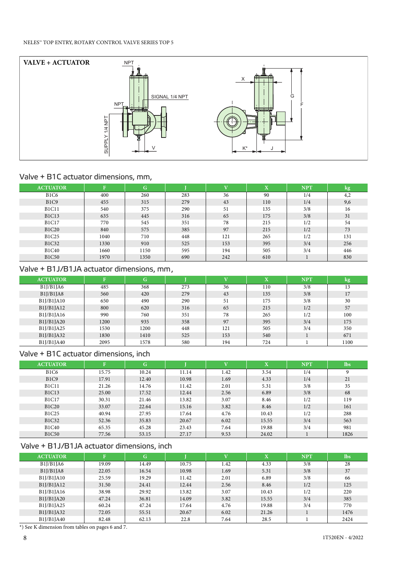

# Valve + B1C actuator dimensions, mm,

| <b>ACTUATOR</b>               | F    | G    |     | $\mathbf{V}$ | $\overline{\mathbf{X}}$ | <b>NPT</b> | kg  |
|-------------------------------|------|------|-----|--------------|-------------------------|------------|-----|
| <b>B1C6</b>                   | 400  | 260  | 283 | 36           | 90                      | 1/4        | 4,2 |
| B <sub>1</sub> C <sub>9</sub> | 455  | 315  | 279 | 43           | 110                     | 1/4        | 9,6 |
| <b>B1C11</b>                  | 540  | 375  | 290 | 51           | 135                     | 3/8        | 16  |
| <b>B1C13</b>                  | 635  | 445  | 316 | 65           | 175                     | 3/8        | 31  |
| <b>B1C17</b>                  | 770  | 545  | 351 | 78           | 215                     | 1/2        | 54  |
| <b>B1C20</b>                  | 840  | 575  | 385 | 97           | 215                     | 1/2        | 73  |
| <b>B1C25</b>                  | 1040 | 710  | 448 | 121          | 265                     | 1/2        | 131 |
| <b>B1C32</b>                  | 1330 | 910  | 525 | 153          | 395                     | 3/4        | 256 |
| <b>B1C40</b>                  | 1660 | 1150 | 595 | 194          | 505                     | 3/4        | 446 |
| <b>B1C50</b>                  | 1970 | 1350 | 690 | 242          | 610                     |            | 830 |

# Valve + B1J/B1JA actuator dimensions, mm,

| <b>ACTUATOR</b> | $\mathbf{F}$ | G    |     | $\mathbf{V}$ | $\overline{\mathbf{X}}$ | <b>NPT</b> | kg   |
|-----------------|--------------|------|-----|--------------|-------------------------|------------|------|
| B1J/B1JA6       | 485          | 368  | 273 | 36           | 110                     | 3/8        | 13   |
| B1J/B1JA8       | 560          | 420  | 279 | 43           | 135                     | 3/8        | 17   |
| B1J/B1JA10      | 650          | 490  | 290 | 51           | 175                     | 3/8        | 30   |
| B1J/B1JA12      | 800          | 620  | 316 | 65           | 215                     | 1/2        | 57   |
| B1J/B1JA16      | 990          | 760  | 351 | 78           | 265                     | 1/2        | 100  |
| B1J/B1JA20      | 1200         | 935  | 358 | 97           | 395                     | 3/4        | 175  |
| B1J/B1JA25      | 1530         | 1200 | 448 | 121          | 505                     | 3/4        | 350  |
| B1J/B1JA32      | 1830         | 1410 | 525 | 153          | 540                     |            | 671  |
| B1J/B1JA40      | 2095         | 1578 | 580 | 194          | 724                     |            | 1100 |

# Valve + B1C actuator dimensions, inch

| <b>ACTUATOR</b>               | $\mathbf{F}$ | G     |       | $\mathbf{V}$ | X     | <b>NPT</b> | <b>lbs</b> |
|-------------------------------|--------------|-------|-------|--------------|-------|------------|------------|
| <b>B1C6</b>                   | 15.75        | 10.24 | 11.14 | 1.42         | 3.54  | 1/4        |            |
| B <sub>1</sub> C <sub>9</sub> | 17.91        | 12.40 | 10.98 | 1.69         | 4.33  | 1/4        | 21         |
| <b>B1C11</b>                  | 21.26        | 14.76 | 11.42 | 2.01         | 5.31  | 3/8        | 35         |
| <b>B1C13</b>                  | 25.00        | 17.52 | 12.44 | 2.56         | 6.89  | 3/8        | 68         |
| <b>B1C17</b>                  | 30.31        | 21.46 | 13.82 | 3.07         | 8.46  | 1/2        | 119        |
| <b>B1C20</b>                  | 33.07        | 22.64 | 15.16 | 3.82         | 8.46  | 1/2        | 161        |
| <b>B1C25</b>                  | 40.94        | 27.95 | 17.64 | 4.76         | 10.43 | 1/2        | 288        |
| <b>B1C32</b>                  | 52.36        | 35.83 | 20.67 | 6.02         | 15.55 | 3/4        | 563        |
| <b>B1C40</b>                  | 65.35        | 45.28 | 23.43 | 7.64         | 19.88 | 3/4        | 981        |
| <b>B1C50</b>                  | 77.56        | 53.15 | 27.17 | 9.53         | 24.02 |            | 1826       |

# Valve + B1J/B1JA actuator dimensions, inch

| <b>ACTUATOR</b> | $\mathbf{F}$ | G     |       | $\overline{\mathbf{V}}$ | $\overline{\mathbf{X}}$ | <b>NPT</b> | <b>Ibs</b> |
|-----------------|--------------|-------|-------|-------------------------|-------------------------|------------|------------|
| B1J/B1JA6       | 19.09        | 14.49 | 10.75 | 1.42                    | 4.33                    | 3/8        | 28         |
| B1J/B1JA8       | 22.05        | 16.54 | 10.98 | 1.69                    | 5.31                    | 3/8        | 37         |
| B1J/B1JA10      | 25.59        | 19.29 | 11.42 | 2.01                    | 6.89                    | 3/8        | 66         |
| B1J/B1JA12      | 31.50        | 24.41 | 12.44 | 2.56                    | 8.46                    | 1/2        | 125        |
| B1J/B1JA16      | 38.98        | 29.92 | 13.82 | 3.07                    | 10.43                   | 1/2        | 220        |
| B1J/B1JA20      | 47.24        | 36.81 | 14.09 | 3.82                    | 15.55                   | 3/4        | 385        |
| B1J/B1JA25      | 60.24        | 47.24 | 17.64 | 4.76                    | 19.88                   | 3/4        | 770        |
| B1J/B1JA32      | 72.05        | 55.51 | 20.67 | 6.02                    | 21.26                   |            | 1476       |
| B1J/B1JA40      | 82.48        | 62.13 | 22.8  | 7.64                    | 28.5                    |            | 2424       |

\*) See K dimension from tables on pages 6 and 7.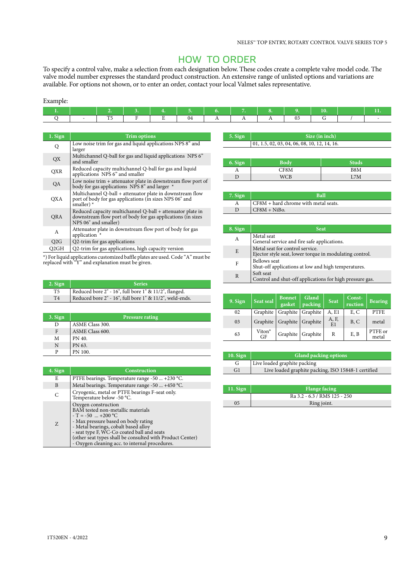# HOW TO ORDER

To specify a control valve, make a selection from each designation below. These codes create a complete valve model code. The valve model number expresses the standard product construction. An extensive range of unlisted options and variations are available. For options not shown, or to enter an order, contact your local Valmet sales representative.

### Example:

|  |  |  | $\sim$ 7. $\sim$ | $\begin{array}{cccc} \end{array}$ 1 $\begin{array}{cccc} \end{array}$ 9. |  |  |
|--|--|--|------------------|--------------------------------------------------------------------------|--|--|
|  |  |  | A                |                                                                          |  |  |

| 1. Sign | <b>Trim options</b>                                                                                                                               |
|---------|---------------------------------------------------------------------------------------------------------------------------------------------------|
| Q       | Low noise trim for gas and liquid applications NPS 8" and<br>larger                                                                               |
| QX      | Multichannel Q-ball for gas and liquid applications NPS 6"<br>and smaller                                                                         |
| QXR     | Reduced capacity multichannel Q-ball for gas and liquid<br>applications NPS 6" and smaller                                                        |
| QA      | Low noise trim $+$ attenuator plate in downstream flow port of<br>body for gas applications NPS 8" and larger *                                   |
| QXA     | Multichannel Q-ball + attenuator plate in downstream flow<br>port of body for gas applications (in sizes NPS 06" and<br>smaller) $*$              |
| QRA     | Reduced capacity multichannel Q-ball + attenuator plate in<br>downstream flow port of body for gas applications (in sizes<br>NPS 06" and smaller) |
| А       | Attenuator plate in downstream flow port of body for gas<br>application *                                                                         |
| Q2G     | Q2-trim for gas applications                                                                                                                      |
| Q2GH    | Q2-trim for gas applications, high capacity version                                                                                               |

\*) For liquid applications customized baffle plates are used. Code "A" must be replaced with "Y" and explanation must be given.

| 2. Sign        | <b>Series</b>                                           |
|----------------|---------------------------------------------------------|
| T <sub>5</sub> | Reduced bore 2" - 16", full bore 1" & 11/2", flanged.   |
| T <sub>4</sub> | Reduced bore 2" - 16", full bore 1" & 11/2", weld-ends. |

| 3. Sign | <b>Pressure rating</b> |
|---------|------------------------|
| Ð       | ASME Class 300.        |
| F       | ASME Class 600.        |
| M       | PN 40.                 |
| N       | PN 63.                 |
| P       | PN 100.                |

| 4. Sign | <b>Construction</b>                                                                                                                                                                                                                                                                                                        |  |  |  |
|---------|----------------------------------------------------------------------------------------------------------------------------------------------------------------------------------------------------------------------------------------------------------------------------------------------------------------------------|--|--|--|
| E       | PTFE bearings. Temperature range -50  +230 °C.                                                                                                                                                                                                                                                                             |  |  |  |
| B       | Metal bearings. Temperature range -50  +450 °C.                                                                                                                                                                                                                                                                            |  |  |  |
| C       | Cryogenic, metal or PTFE bearings F-seat only.<br>Temperature below -50 °C.                                                                                                                                                                                                                                                |  |  |  |
| Z       | Oxygen construction<br>BAM tested non-metallic materials<br>$-T = -50$ +200 °C<br>- Max pressure based on body rating<br>- Metal bearings, cobalt based alloy<br>- seat type F, WC-Co coated ball and seats<br>(other seat types shall be consulted with Product Center)<br>- Oxygen cleaning acc. to internal procedures. |  |  |  |

| 5. Sign | Size (in inch)                                       |
|---------|------------------------------------------------------|
|         | $\vert$ 01, 1.5, 02, 03, 04, 06, 08, 10, 12, 14, 16. |
|         |                                                      |

| 6. Sign | <b>Body</b> | <b>Studs</b> |
|---------|-------------|--------------|
| л       | CF8M        | B8M          |
|         | <b>WCB</b>  | L7M          |

| $7.$ Sign | <b>Ball</b>                            |  |  |  |
|-----------|----------------------------------------|--|--|--|
|           | $CF8M + hard$ chrome with metal seats. |  |  |  |
|           | $CF8M + NiBo.$                         |  |  |  |

| 8. Sign | <b>Seat</b>                                                                                |
|---------|--------------------------------------------------------------------------------------------|
| А       | Metal seat<br>General service and fire safe applications.                                  |
| E       | Metal seat for control service.<br>Ejector style seat, lower torque in modulating control. |
| F       | <b>Bellows</b> seat<br>Shut-off applications at low and high temperatures.                 |
| R       | Soft seat<br>Control and shut-off applications for high pressure gas.                      |

| 9. Sign | Seat seal                | <b>Bonnet</b><br>gasket | Gland<br>packing  | <b>Seat</b> | Const-<br>ruction | <b>Bearing</b>   |
|---------|--------------------------|-------------------------|-------------------|-------------|-------------------|------------------|
| 02      | Graphite                 |                         | Graphite Graphite | A, E1       | E, C              | <b>PTFE</b>      |
| 03      | Graphite                 |                         | Graphite Graphite | A, F,<br>E1 | B, C              | metal            |
| 63      | Viton <sup>®</sup><br>GF |                         | Graphite Graphite | R           | E, B              | PTFE or<br>metal |

| $10.$ Sign | <b>Gland packing options</b>                        |  |  |  |  |  |
|------------|-----------------------------------------------------|--|--|--|--|--|
| G          | Live loaded graphite packing                        |  |  |  |  |  |
| G1         | Live loaded graphite packing, ISO 15848-1 certified |  |  |  |  |  |

| $11.$ Sign | <b>Flange facing</b>         |
|------------|------------------------------|
|            | Ra 3.2 - 6.3 / RMS 125 - 250 |
|            | Ring joint.                  |